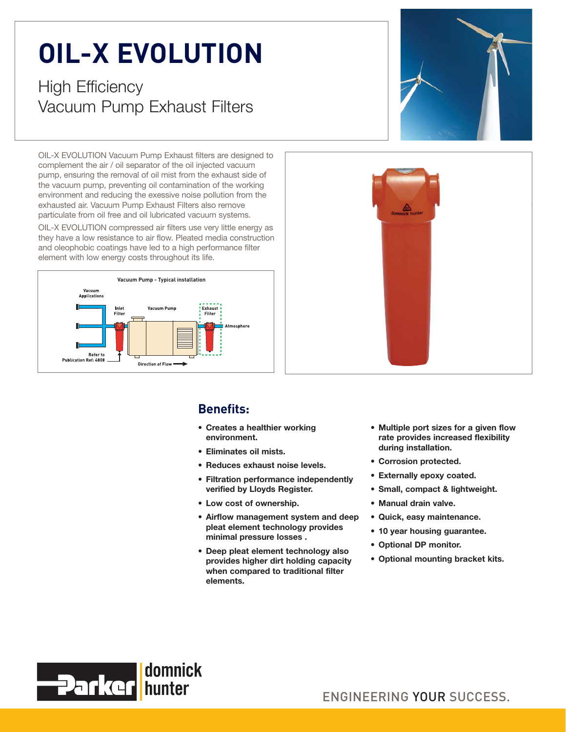## **OIL-X EVOLUTION**

nagh Embreundy<br>Vacuum Pump Vacuum Pump Exhaust Filters

OIL-X EVOLUTION Vacuum Pump Exhaust filters are designed to complement the air / oil separator of the oil injected vacuum pump, ensuring the removal of oil mist from the exhaust side of the vacuum pump, preventing oil contamination of the working environment and reducing the exessive noise pollution from the exhausted air. Vacuum Pump Exhaust Filters also remove particulate from oil free and oil lubricated vacuum systems.

OIL-X EVOLUTION compressed air filters use very little energy as they have a low resistance to air flow. Pleated media construction and oleophobic coatings have led to a high performance filter element with low energy costs throughout its life.







## **Benefits:**

- **Creates a healthier working environment.**
- **Eliminates oil mists.**
- **Reduces exhaust noise levels.**
- **Filtration performance independently verified by Lloyds Register.**
- **Low cost of ownership.**
- **Airflow management system and deep pleat element technology provides minimal pressure losses .**
- **Deep pleat element technology also provides higher dirt holding capacity when compared to traditional filter elements.**
- **Multiple port sizes for a given flow rate provides increased flexibility during installation.**
- **Corrosion protected.**
- **Externally epoxy coated.**
- **Small, compact & lightweight.**
- **Manual drain valve.**
- **Quick, easy maintenance.**
- **10 year housing guarantee.**
- **Optional DP monitor.**
- **Optional mounting bracket kits.**



ENGINEERING YOUR SUCCESS.